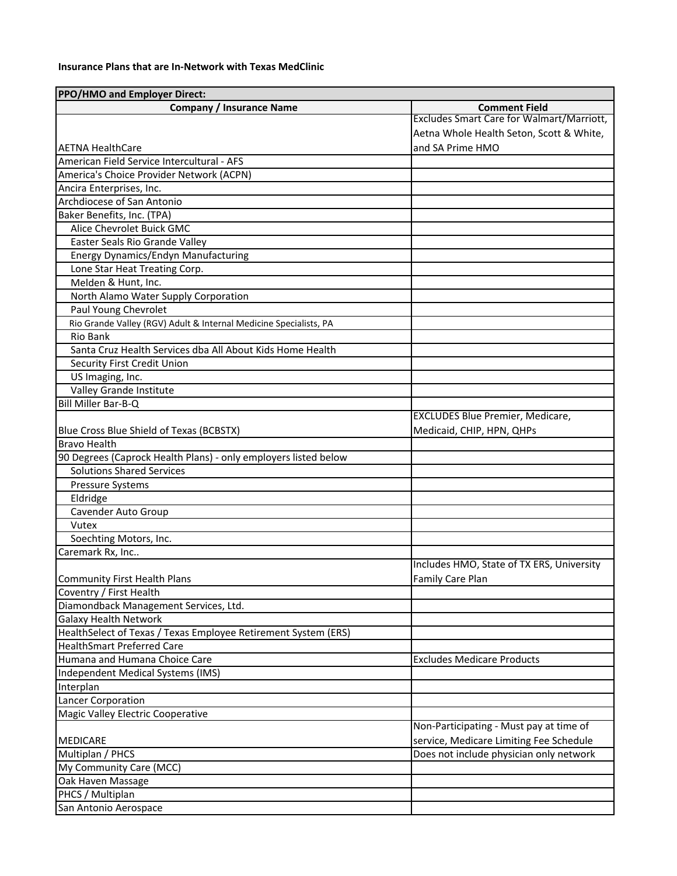## **Insurance Plans that are In‐Network with Texas MedClinic**

| PPO/HMO and Employer Direct:                                      |                                           |
|-------------------------------------------------------------------|-------------------------------------------|
| <b>Company / Insurance Name</b>                                   | <b>Comment Field</b>                      |
|                                                                   | Excludes Smart Care for Walmart/Marriott, |
|                                                                   | Aetna Whole Health Seton, Scott & White,  |
| <b>AETNA HealthCare</b>                                           | and SA Prime HMO                          |
| American Field Service Intercultural - AFS                        |                                           |
| America's Choice Provider Network (ACPN)                          |                                           |
| Ancira Enterprises, Inc.                                          |                                           |
| Archdiocese of San Antonio                                        |                                           |
| Baker Benefits, Inc. (TPA)                                        |                                           |
| Alice Chevrolet Buick GMC                                         |                                           |
| Easter Seals Rio Grande Valley                                    |                                           |
| Energy Dynamics/Endyn Manufacturing                               |                                           |
| Lone Star Heat Treating Corp.                                     |                                           |
| Melden & Hunt, Inc.                                               |                                           |
| North Alamo Water Supply Corporation                              |                                           |
| Paul Young Chevrolet                                              |                                           |
| Rio Grande Valley (RGV) Adult & Internal Medicine Specialists, PA |                                           |
| Rio Bank                                                          |                                           |
| Santa Cruz Health Services dba All About Kids Home Health         |                                           |
| Security First Credit Union                                       |                                           |
| US Imaging, Inc.                                                  |                                           |
| Valley Grande Institute                                           |                                           |
| Bill Miller Bar-B-Q                                               |                                           |
|                                                                   | <b>EXCLUDES Blue Premier, Medicare,</b>   |
| Blue Cross Blue Shield of Texas (BCBSTX)                          | Medicaid, CHIP, HPN, QHPs                 |
| <b>Bravo Health</b>                                               |                                           |
| 90 Degrees (Caprock Health Plans) - only employers listed below   |                                           |
| <b>Solutions Shared Services</b>                                  |                                           |
| Pressure Systems                                                  |                                           |
| Eldridge                                                          |                                           |
| Cavender Auto Group                                               |                                           |
| Vutex                                                             |                                           |
| Soechting Motors, Inc.                                            |                                           |
| Caremark Rx, Inc                                                  |                                           |
|                                                                   | Includes HMO, State of TX ERS, University |
| <b>Community First Health Plans</b>                               | <b>Family Care Plan</b>                   |
| Coventry / First Health                                           |                                           |
| Diamondback Management Services, Ltd.                             |                                           |
| Galaxy Health Network                                             |                                           |
| HealthSelect of Texas / Texas Employee Retirement System (ERS)    |                                           |
| <b>HealthSmart Preferred Care</b>                                 |                                           |
| Humana and Humana Choice Care                                     | <b>Excludes Medicare Products</b>         |
| Independent Medical Systems (IMS)                                 |                                           |
| Interplan                                                         |                                           |
| Lancer Corporation                                                |                                           |
| Magic Valley Electric Cooperative                                 |                                           |
|                                                                   | Non-Participating - Must pay at time of   |
| MEDICARE                                                          | service, Medicare Limiting Fee Schedule   |
| Multiplan / PHCS                                                  | Does not include physician only network   |
| My Community Care (MCC)                                           |                                           |
| Oak Haven Massage                                                 |                                           |
| PHCS / Multiplan                                                  |                                           |
| San Antonio Aerospace                                             |                                           |